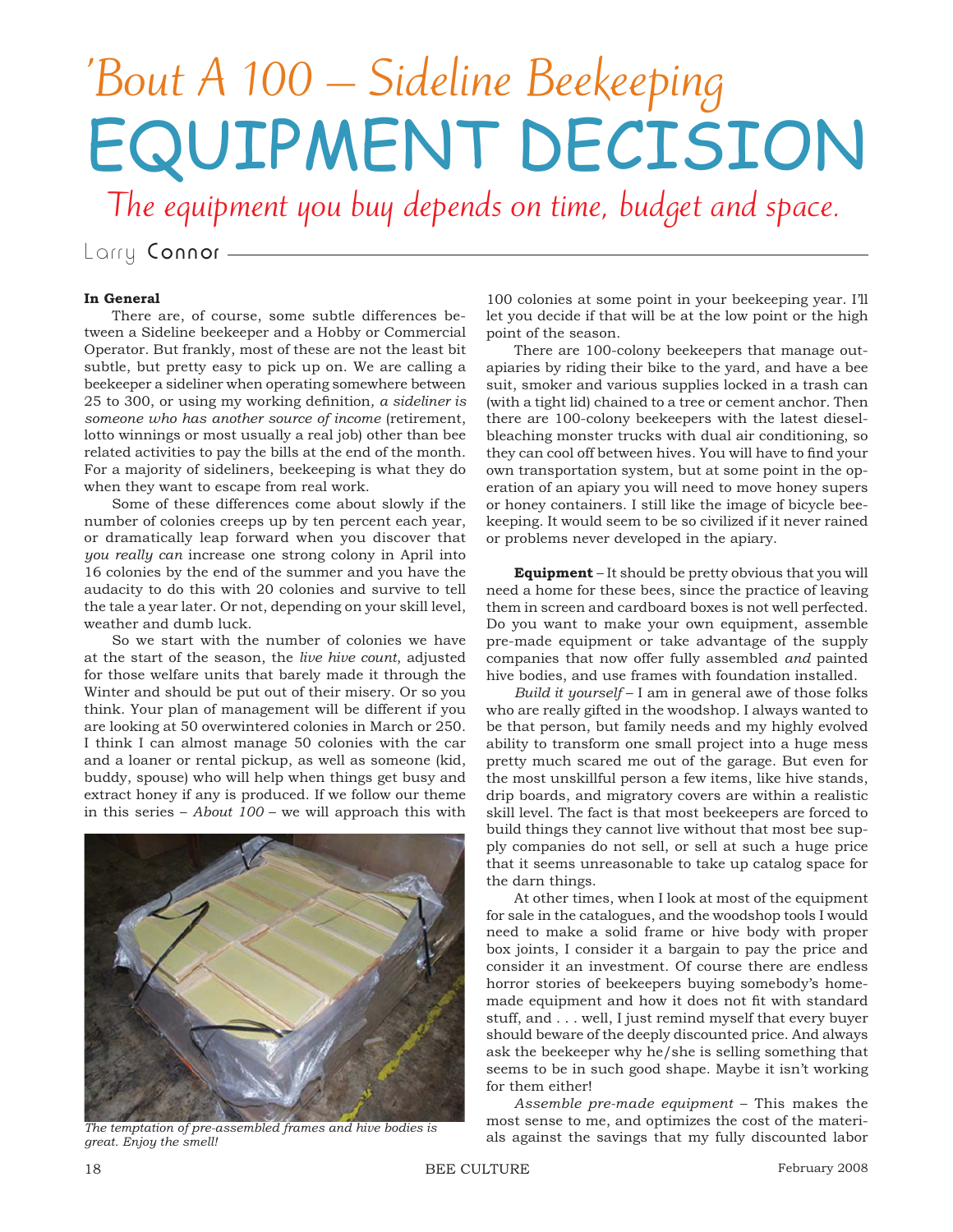## 'Bout A 100 – Sideline Beekeeping EQUIPMENT DECISION

The equipment you buy depends on time, budget and space.

Larry Connor -

## **In General**

There are, of course, some subtle differences between a Sideline beekeeper and a Hobby or Commercial Operator. But frankly, most of these are not the least bit subtle, but pretty easy to pick up on. We are calling a beekeeper a sideliner when operating somewhere between 25 to 300, or using my working definition, a sideliner is *someone who has another source of income* (retirement, lotto winnings or most usually a real job) other than bee related activities to pay the bills at the end of the month. For a majority of sideliners, beekeeping is what they do when they want to escape from real work.

Some of these differences come about slowly if the number of colonies creeps up by ten percent each year, or dramatically leap forward when you discover that *you really can* increase one strong colony in April into 16 colonies by the end of the summer and you have the audacity to do this with 20 colonies and survive to tell the tale a year later. Or not, depending on your skill level, weather and dumb luck.

So we start with the number of colonies we have at the start of the season, the *live hive count*, adjusted for those welfare units that barely made it through the Winter and should be put out of their misery. Or so you think. Your plan of management will be different if you are looking at 50 overwintered colonies in March or 250. I think I can almost manage 50 colonies with the car and a loaner or rental pickup, as well as someone (kid, buddy, spouse) who will help when things get busy and extract honey if any is produced. If we follow our theme in this series – *About 100* – we will approach this with



*great. Enjoy the smell!*

100 colonies at some point in your beekeeping year. I'll let you decide if that will be at the low point or the high point of the season.

There are 100-colony beekeepers that manage outapiaries by riding their bike to the yard, and have a bee suit, smoker and various supplies locked in a trash can (with a tight lid) chained to a tree or cement anchor. Then there are 100-colony beekeepers with the latest dieselbleaching monster trucks with dual air conditioning, so they can cool off between hives. You will have to find your own transportation system, but at some point in the operation of an apiary you will need to move honey supers or honey containers. I still like the image of bicycle beekeeping. It would seem to be so civilized if it never rained or problems never developed in the apiary.

**Equipment** – It should be pretty obvious that you will need a home for these bees, since the practice of leaving them in screen and cardboard boxes is not well perfected. Do you want to make your own equipment, assemble pre-made equipment or take advantage of the supply companies that now offer fully assembled *and* painted hive bodies, and use frames with foundation installed.

*Build it yourself* – I am in general awe of those folks who are really gifted in the woodshop. I always wanted to be that person, but family needs and my highly evolved ability to transform one small project into a huge mess pretty much scared me out of the garage. But even for the most unskillful person a few items, like hive stands, drip boards, and migratory covers are within a realistic skill level. The fact is that most beekeepers are forced to build things they cannot live without that most bee supply companies do not sell, or sell at such a huge price that it seems unreasonable to take up catalog space for the darn things.

At other times, when I look at most of the equipment for sale in the catalogues, and the woodshop tools I would need to make a solid frame or hive body with proper box joints, I consider it a bargain to pay the price and consider it an investment. Of course there are endless horror stories of beekeepers buying somebody's homemade equipment and how it does not fit with standard stuff, and . . . well, I just remind myself that every buyer should beware of the deeply discounted price. And always ask the beekeeper why he/she is selling something that seems to be in such good shape. Maybe it isn't working for them either!

*Assemble pre-made equipment* – This makes the most sense to me, and optimizes the cost of the materials against the savings that my fully discounted labor *The temptation of pre-assembled frames and hive bodies is*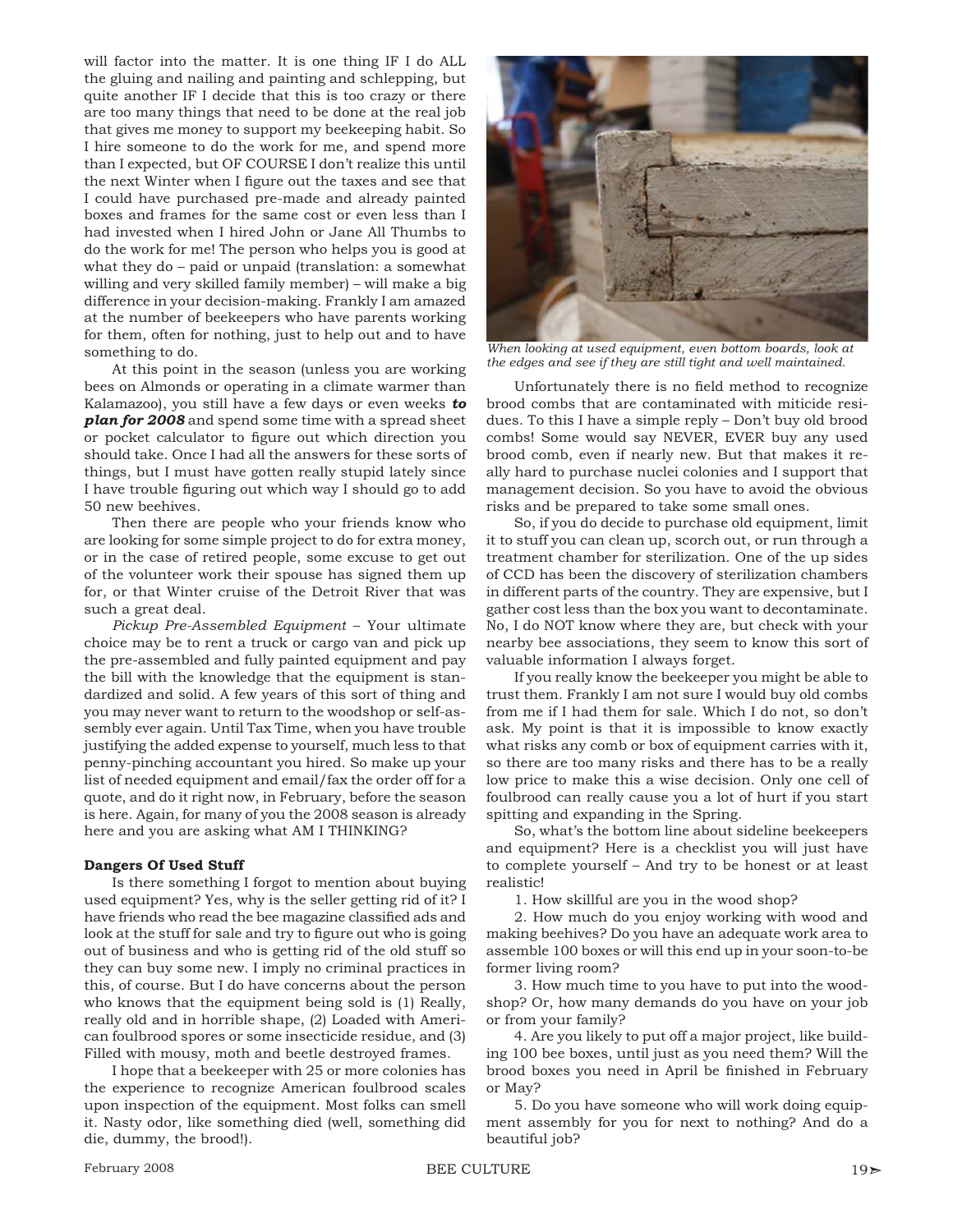will factor into the matter. It is one thing IF I do ALL the gluing and nailing and painting and schlepping, but quite another IF I decide that this is too crazy or there are too many things that need to be done at the real job that gives me money to support my beekeeping habit. So I hire someone to do the work for me, and spend more than I expected, but OF COURSE I don't realize this until the next Winter when I figure out the taxes and see that I could have purchased pre-made and already painted boxes and frames for the same cost or even less than I had invested when I hired John or Jane All Thumbs to do the work for me! The person who helps you is good at what they do – paid or unpaid (translation: a somewhat willing and very skilled family member) – will make a big difference in your decision-making. Frankly I am amazed at the number of beekeepers who have parents working for them, often for nothing, just to help out and to have something to do.

At this point in the season (unless you are working bees on Almonds or operating in a climate warmer than Kalamazoo), you still have a few days or even weeks *to plan for 2008* and spend some time with a spread sheet or pocket calculator to figure out which direction you should take. Once I had all the answers for these sorts of things, but I must have gotten really stupid lately since I have trouble figuring out which way I should go to add 50 new beehives.

Then there are people who your friends know who are looking for some simple project to do for extra money, or in the case of retired people, some excuse to get out of the volunteer work their spouse has signed them up for, or that Winter cruise of the Detroit River that was such a great deal.

*Pickup Pre-Assembled Equipment* – Your ultimate choice may be to rent a truck or cargo van and pick up the pre-assembled and fully painted equipment and pay the bill with the knowledge that the equipment is standardized and solid. A few years of this sort of thing and you may never want to return to the woodshop or self-assembly ever again. Until Tax Time, when you have trouble justifying the added expense to yourself, much less to that penny-pinching accountant you hired. So make up your list of needed equipment and email/fax the order off for a quote, and do it right now, in February, before the season is here. Again, for many of you the 2008 season is already here and you are asking what AM I THINKING?

## **Dangers Of Used Stuff**

Is there something I forgot to mention about buying used equipment? Yes, why is the seller getting rid of it? I have friends who read the bee magazine classified ads and look at the stuff for sale and try to figure out who is going out of business and who is getting rid of the old stuff so they can buy some new. I imply no criminal practices in this, of course. But I do have concerns about the person who knows that the equipment being sold is (1) Really, really old and in horrible shape, (2) Loaded with American foulbrood spores or some insecticide residue, and (3) Filled with mousy, moth and beetle destroyed frames.

I hope that a beekeeper with 25 or more colonies has the experience to recognize American foulbrood scales upon inspection of the equipment. Most folks can smell it. Nasty odor, like something died (well, something did die, dummy, the brood!).



*When looking at used equipment, even bottom boards, look at the edges and see if they are still tight and well maintained.*

Unfortunately there is no field method to recognize brood combs that are contaminated with miticide residues. To this I have a simple reply – Don't buy old brood combs! Some would say NEVER, EVER buy any used brood comb, even if nearly new. But that makes it really hard to purchase nuclei colonies and I support that management decision. So you have to avoid the obvious risks and be prepared to take some small ones.

So, if you do decide to purchase old equipment, limit it to stuff you can clean up, scorch out, or run through a treatment chamber for sterilization. One of the up sides of CCD has been the discovery of sterilization chambers in different parts of the country. They are expensive, but I gather cost less than the box you want to decontaminate. No, I do NOT know where they are, but check with your nearby bee associations, they seem to know this sort of valuable information I always forget.

If you really know the beekeeper you might be able to trust them. Frankly I am not sure I would buy old combs from me if I had them for sale. Which I do not, so don't ask. My point is that it is impossible to know exactly what risks any comb or box of equipment carries with it, so there are too many risks and there has to be a really low price to make this a wise decision. Only one cell of foulbrood can really cause you a lot of hurt if you start spitting and expanding in the Spring.

So, what's the bottom line about sideline beekeepers and equipment? Here is a checklist you will just have to complete yourself – And try to be honest or at least realistic!

1. How skillful are you in the wood shop?

2. How much do you enjoy working with wood and making beehives? Do you have an adequate work area to assemble 100 boxes or will this end up in your soon-to-be former living room?

3. How much time to you have to put into the woodshop? Or, how many demands do you have on your job or from your family?

4. Are you likely to put off a major project, like building 100 bee boxes, until just as you need them? Will the brood boxes you need in April be finished in February or May?

5. Do you have someone who will work doing equipment assembly for you for next to nothing? And do a beautiful job?